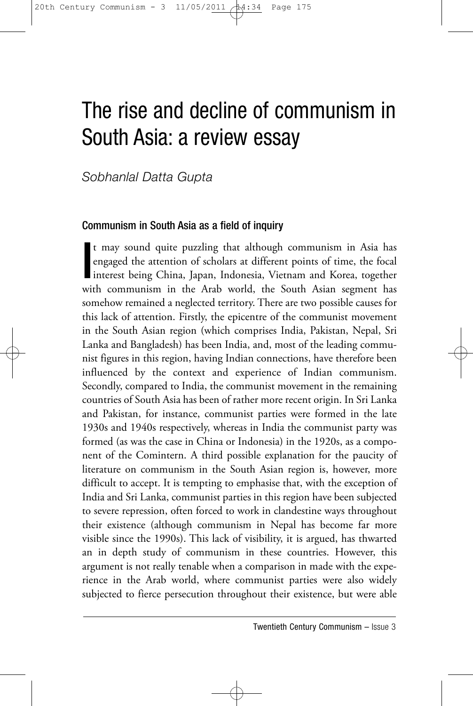# The rise and decline of communism in South Asia: a review essay

*Sobhanlal Datta Gupta*

# Communism in South Asia as a field of inquiry

t may sound quite puzzling that although communism in Asia has<br>engaged the attention of scholars at different points of time, the focal<br>interest being China, Japan, Indonesia, Vietnam and Korea, together<br>with communism in engaged the attention of scholars at different points of time, the focal interest being China, Japan, Indonesia, Vietnam and Korea, together with communism in the Arab world, the South Asian segment has somehow remained a neglected territory. There are two possible causes for this lack of attention. Firstly, the epicentre of the communist movement in the South Asian region (which comprises India, Pakistan, Nepal, Sri Lanka and Bangladesh) has been India, and, most of the leading communist figures in this region, having Indian connections, have therefore been influenced by the context and experience of Indian communism. Secondly, compared to India, the communist movement in the remaining countries of South Asia has been of rather more recent origin. In Sri Lanka and Pakistan, for instance, communist parties were formed in the late 1930s and 1940s respectively, whereas in India the communist party was formed (as was the case in China or Indonesia) in the 1920s, as a component of the Comintern. A third possible explanation for the paucity of literature on communism in the South Asian region is, however, more difficult to accept. It is tempting to emphasise that, with the exception of India and Sri Lanka, communist parties in this region have been subjected to severe repression, often forced to work in clandestine ways throughout their existence (although communism in Nepal has become far more visible since the 1990s). This lack of visibility, it is argued, has thwarted an in depth study of communism in these countries. However, this argument is not really tenable when a comparison in made with the experience in the Arab world, where communist parties were also widely subjected to fierce persecution throughout their existence, but were able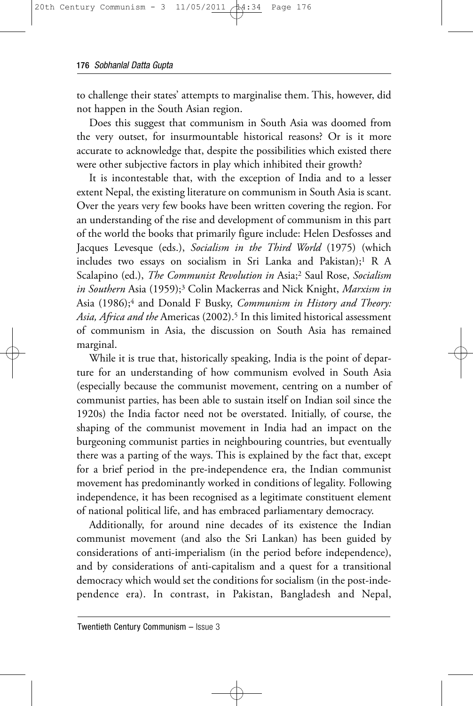to challenge their states' attempts to marginalise them. This, however, did not happen in the South Asian region.

Does this suggest that communism in South Asia was doomed from the very outset, for insurmountable historical reasons? Or is it more accurate to acknowledge that, despite the possibilities which existed there were other subjective factors in play which inhibited their growth?

It is incontestable that, with the exception of India and to a lesser extent Nepal, the existing literature on communism in South Asia is scant. Over the years very few books have been written covering the region. For an understanding of the rise and development of communism in this part of the world the books that primarily figure include: Helen Desfosses and Jacques Levesque (eds.), *Socialism in the Third World* (1975) (which includes two essays on socialism in Sri Lanka and Pakistan);<sup>1</sup> R A Scalapino (ed.), *The Communist Revolution in* Asia;2 Saul Rose, *Socialism in Southern* Asia (1959);3 Colin Mackerras and Nick Knight, *Marxism in* Asia (1986);4 and Donald F Busky, *Communism in History and Theory: Asia, Africa and the* Americas (2002).5 In this limited historical assessment of communism in Asia, the discussion on South Asia has remained marginal.

While it is true that, historically speaking, India is the point of departure for an understanding of how communism evolved in South Asia (especially because the communist movement, centring on a number of communist parties, has been able to sustain itself on Indian soil since the 1920s) the India factor need not be overstated. Initially, of course, the shaping of the communist movement in India had an impact on the burgeoning communist parties in neighbouring countries, but eventually there was a parting of the ways. This is explained by the fact that, except for a brief period in the pre-independence era, the Indian communist movement has predominantly worked in conditions of legality. Following independence, it has been recognised as a legitimate constituent element of national political life, and has embraced parliamentary democracy.

Additionally, for around nine decades of its existence the Indian communist movement (and also the Sri Lankan) has been guided by considerations of anti-imperialism (in the period before independence), and by considerations of anti-capitalism and a quest for a transitional democracy which would set the conditions for socialism (in the post-independence era). In contrast, in Pakistan, Bangladesh and Nepal,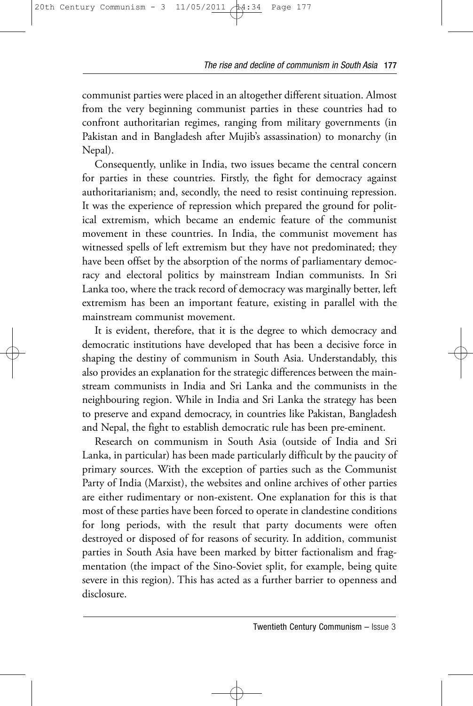communist parties were placed in an altogether different situation. Almost from the very beginning communist parties in these countries had to confront authoritarian regimes, ranging from military governments (in Pakistan and in Bangladesh after Mujib's assassination) to monarchy (in Nepal).

Consequently, unlike in India, two issues became the central concern for parties in these countries. Firstly, the fight for democracy against authoritarianism; and, secondly, the need to resist continuing repression. It was the experience of repression which prepared the ground for political extremism, which became an endemic feature of the communist movement in these countries. In India, the communist movement has witnessed spells of left extremism but they have not predominated; they have been offset by the absorption of the norms of parliamentary democracy and electoral politics by mainstream Indian communists. In Sri Lanka too, where the track record of democracy was marginally better, left extremism has been an important feature, existing in parallel with the mainstream communist movement.

It is evident, therefore, that it is the degree to which democracy and democratic institutions have developed that has been a decisive force in shaping the destiny of communism in South Asia. Understandably, this also provides an explanation for the strategic differences between the mainstream communists in India and Sri Lanka and the communists in the neighbouring region. While in India and Sri Lanka the strategy has been to preserve and expand democracy, in countries like Pakistan, Bangladesh and Nepal, the fight to establish democratic rule has been pre-eminent.

Research on communism in South Asia (outside of India and Sri Lanka, in particular) has been made particularly difficult by the paucity of primary sources. With the exception of parties such as the Communist Party of India (Marxist), the websites and online archives of other parties are either rudimentary or non-existent. One explanation for this is that most of these parties have been forced to operate in clandestine conditions for long periods, with the result that party documents were often destroyed or disposed of for reasons of security. In addition, communist parties in South Asia have been marked by bitter factionalism and fragmentation (the impact of the Sino-Soviet split, for example, being quite severe in this region). This has acted as a further barrier to openness and disclosure.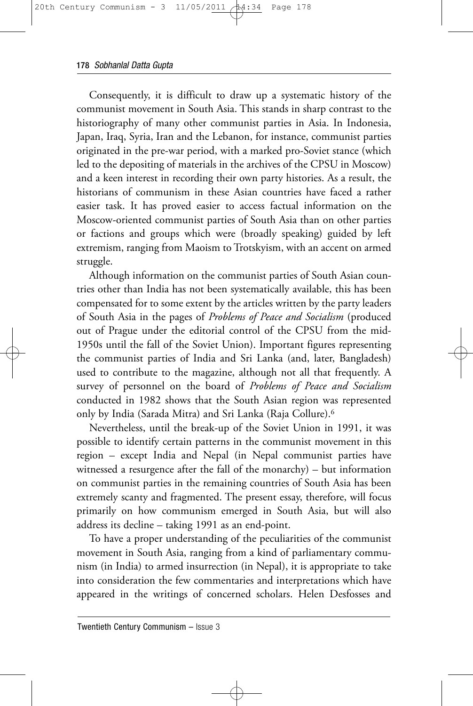Consequently, it is difficult to draw up a systematic history of the communist movement in South Asia. This stands in sharp contrast to the historiography of many other communist parties in Asia. In Indonesia, Japan, Iraq, Syria, Iran and the Lebanon, for instance, communist parties originated in the pre-war period, with a marked pro-Soviet stance (which led to the depositing of materials in the archives of the CPSU in Moscow) and a keen interest in recording their own party histories. As a result, the historians of communism in these Asian countries have faced a rather easier task. It has proved easier to access factual information on the Moscow-oriented communist parties of South Asia than on other parties or factions and groups which were (broadly speaking) guided by left extremism, ranging from Maoism to Trotskyism, with an accent on armed struggle.

Although information on the communist parties of South Asian countries other than India has not been systematically available, this has been compensated for to some extent by the articles written by the party leaders of South Asia in the pages of *Problems of Peace and Socialism* (produced out of Prague under the editorial control of the CPSU from the mid-1950s until the fall of the Soviet Union). Important figures representing the communist parties of India and Sri Lanka (and, later, Bangladesh) used to contribute to the magazine, although not all that frequently. A survey of personnel on the board of *Problems of Peace and Socialism* conducted in 1982 shows that the South Asian region was represented only by India (Sarada Mitra) and Sri Lanka (Raja Collure).6

Nevertheless, until the break-up of the Soviet Union in 1991, it was possible to identify certain patterns in the communist movement in this region – except India and Nepal (in Nepal communist parties have witnessed a resurgence after the fall of the monarchy) – but information on communist parties in the remaining countries of South Asia has been extremely scanty and fragmented. The present essay, therefore, will focus primarily on how communism emerged in South Asia, but will also address its decline – taking 1991 as an end-point.

To have a proper understanding of the peculiarities of the communist movement in South Asia, ranging from a kind of parliamentary communism (in India) to armed insurrection (in Nepal), it is appropriate to take into consideration the few commentaries and interpretations which have appeared in the writings of concerned scholars. Helen Desfosses and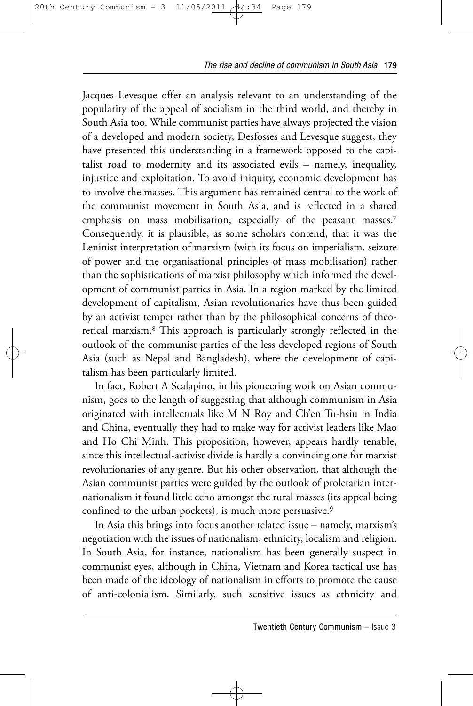Jacques Levesque offer an analysis relevant to an understanding of the popularity of the appeal of socialism in the third world, and thereby in South Asia too. While communist parties have always projected the vision of a developed and modern society, Desfosses and Levesque suggest, they have presented this understanding in a framework opposed to the capitalist road to modernity and its associated evils – namely, inequality, injustice and exploitation. To avoid iniquity, economic development has to involve the masses. This argument has remained central to the work of the communist movement in South Asia, and is reflected in a shared emphasis on mass mobilisation, especially of the peasant masses.<sup>7</sup> Consequently, it is plausible, as some scholars contend, that it was the Leninist interpretation of marxism (with its focus on imperialism, seizure of power and the organisational principles of mass mobilisation) rather than the sophistications of marxist philosophy which informed the development of communist parties in Asia. In a region marked by the limited development of capitalism, Asian revolutionaries have thus been guided by an activist temper rather than by the philosophical concerns of theoretical marxism.8 This approach is particularly strongly reflected in the outlook of the communist parties of the less developed regions of South Asia (such as Nepal and Bangladesh), where the development of capitalism has been particularly limited.

In fact, Robert A Scalapino, in his pioneering work on Asian communism, goes to the length of suggesting that although communism in Asia originated with intellectuals like M N Roy and Ch'en Tu-hsiu in India and China, eventually they had to make way for activist leaders like Mao and Ho Chi Minh. This proposition, however, appears hardly tenable, since this intellectual-activist divide is hardly a convincing one for marxist revolutionaries of any genre. But his other observation, that although the Asian communist parties were guided by the outlook of proletarian internationalism it found little echo amongst the rural masses (its appeal being confined to the urban pockets), is much more persuasive.<sup>9</sup>

In Asia this brings into focus another related issue – namely, marxism's negotiation with the issues of nationalism, ethnicity, localism and religion. In South Asia, for instance, nationalism has been generally suspect in communist eyes, although in China, Vietnam and Korea tactical use has been made of the ideology of nationalism in efforts to promote the cause of anti-colonialism. Similarly, such sensitive issues as ethnicity and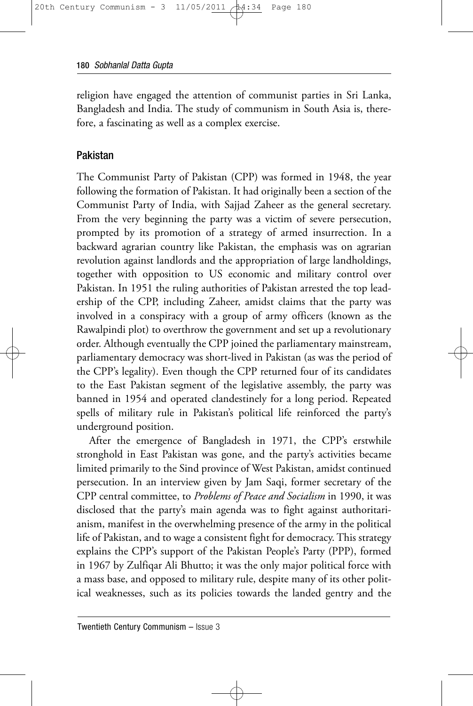religion have engaged the attention of communist parties in Sri Lanka, Bangladesh and India. The study of communism in South Asia is, therefore, a fascinating as well as a complex exercise.

# Pakistan

The Communist Party of Pakistan (CPP) was formed in 1948, the year following the formation of Pakistan. It had originally been a section of the Communist Party of India, with Sajjad Zaheer as the general secretary. From the very beginning the party was a victim of severe persecution, prompted by its promotion of a strategy of armed insurrection. In a backward agrarian country like Pakistan, the emphasis was on agrarian revolution against landlords and the appropriation of large landholdings, together with opposition to US economic and military control over Pakistan. In 1951 the ruling authorities of Pakistan arrested the top leadership of the CPP, including Zaheer, amidst claims that the party was involved in a conspiracy with a group of army officers (known as the Rawalpindi plot) to overthrow the government and set up a revolutionary order. Although eventually the CPP joined the parliamentary mainstream, parliamentary democracy was short-lived in Pakistan (as was the period of the CPP's legality). Even though the CPP returned four of its candidates to the East Pakistan segment of the legislative assembly, the party was banned in 1954 and operated clandestinely for a long period. Repeated spells of military rule in Pakistan's political life reinforced the party's underground position.

After the emergence of Bangladesh in 1971, the CPP's erstwhile stronghold in East Pakistan was gone, and the party's activities became limited primarily to the Sind province of West Pakistan, amidst continued persecution. In an interview given by Jam Saqi, former secretary of the CPP central committee, to *Problems of Peace and Socialism* in 1990, it was disclosed that the party's main agenda was to fight against authoritarianism, manifest in the overwhelming presence of the army in the political life of Pakistan, and to wage a consistent fight for democracy. This strategy explains the CPP's support of the Pakistan People's Party (PPP), formed in 1967 by Zulfiqar Ali Bhutto; it was the only major political force with a mass base, and opposed to military rule, despite many of its other political weaknesses, such as its policies towards the landed gentry and the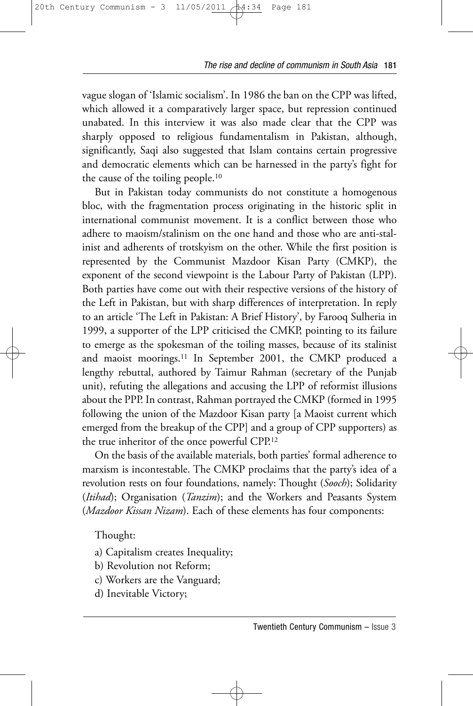vague slogan of 'Islamic socialism'. In 1986 the ban on the CPP was lifted, which allowed it a comparatively larger space, but repression continued unabated. In this interview it was also made clear that the CPP was sharply opposed to religious fundamentalism in Pakistan, although, significantly, Saqi also suggested that Islam contains certain progressive and democratic elements which can be harnessed in the party's fight for the cause of the toiling people.10

But in Pakistan today communists do not constitute a homogenous bloc, with the fragmentation process originating in the historic split in international communist movement. It is a conflict between those who adhere to maoism/stalinism on the one hand and those who are anti-stalinist and adherents of trotskyism on the other. While the first position is represented by the Communist Mazdoor Kisan Party (CMKP), the exponent of the second viewpoint is the Labour Party of Pakistan (LPP). Both parties have come out with their respective versions of the history of the Left in Pakistan, but with sharp differences of interpretation. In reply to an article 'The Left in Pakistan: A Brief History', by Farooq Sulheria in 1999, a supporter of the LPP criticised the CMKP, pointing to its failure to emerge as the spokesman of the toiling masses, because of its stalinist and maoist moorings.11 In September 2001, the CMKP produced a lengthy rebuttal, authored by Taimur Rahman (secretary of the Punjab unit), refuting the allegations and accusing the LPP of reformist illusions about the PPP. In contrast, Rahman portrayed the CMKP (formed in 1995 following the union of the Mazdoor Kisan party [a Maoist current which emerged from the breakup of the CPP] and a group of CPP supporters) as the true inheritor of the once powerful CPP.12

On the basis of the available materials, both parties' formal adherence to marxism is incontestable. The CMKP proclaims that the party's idea of a revolution rests on four foundations, namely: Thought (*Sooch*); Solidarity (*Itihad*); Organisation (*Tanzim*); and the Workers and Peasants System (*Mazdoor Kissan Nizam*). Each of these elements has four components:

Thought:

- a) Capitalism creates Inequality;
- b) Revolution not Reform;
- c) Workers are the Vanguard;
- d) Inevitable Victory;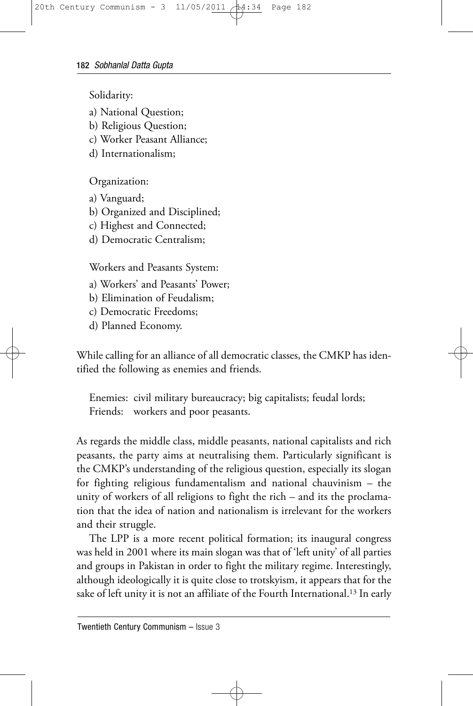Solidarity:

- a) National Question;
- b) Religious Question;
- c) Worker Peasant Alliance;
- d) Internationalism;

Organization:

- a) Vanguard;
- b) Organized and Disciplined;
- c) Highest and Connected;
- d) Democratic Centralism;

Workers and Peasants System:

- a) Workers' and Peasants' Power;
- b) Elimination of Feudalism;
- c) Democratic Freedoms;
- d) Planned Economy.

While calling for an alliance of all democratic classes, the CMKP has identified the following as enemies and friends.

Enemies: civil military bureaucracy; big capitalists; feudal lords; Friends: workers and poor peasants.

As regards the middle class, middle peasants, national capitalists and rich peasants, the party aims at neutralising them. Particularly significant is the CMKP's understanding of the religious question, especially its slogan for fighting religious fundamentalism and national chauvinism – the unity of workers of all religions to fight the rich – and its the proclamation that the idea of nation and nationalism is irrelevant for the workers and their struggle.

The LPP is a more recent political formation; its inaugural congress was held in 2001 where its main slogan was that of 'left unity' of all parties and groups in Pakistan in order to fight the military regime. Interestingly, although ideologically it is quite close to trotskyism, it appears that for the sake of left unity it is not an affiliate of the Fourth International.<sup>13</sup> In early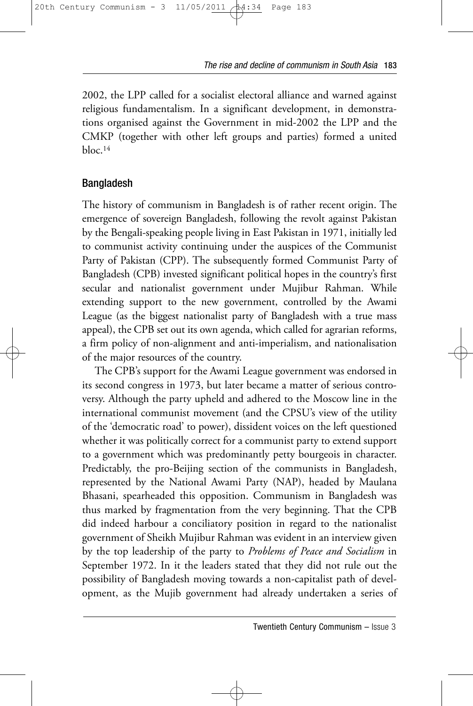2002, the LPP called for a socialist electoral alliance and warned against religious fundamentalism. In a significant development, in demonstrations organised against the Government in mid-2002 the LPP and the CMKP (together with other left groups and parties) formed a united  $h$ loc.<sup>14</sup>

# Bangladesh

The history of communism in Bangladesh is of rather recent origin. The emergence of sovereign Bangladesh, following the revolt against Pakistan by the Bengali-speaking people living in East Pakistan in 1971, initially led to communist activity continuing under the auspices of the Communist Party of Pakistan (CPP). The subsequently formed Communist Party of Bangladesh (CPB) invested significant political hopes in the country's first secular and nationalist government under Mujibur Rahman. While extending support to the new government, controlled by the Awami League (as the biggest nationalist party of Bangladesh with a true mass appeal), the CPB set out its own agenda, which called for agrarian reforms, a firm policy of non-alignment and anti-imperialism, and nationalisation of the major resources of the country.

The CPB's support for the Awami League government was endorsed in its second congress in 1973, but later became a matter of serious controversy. Although the party upheld and adhered to the Moscow line in the international communist movement (and the CPSU's view of the utility of the 'democratic road' to power), dissident voices on the left questioned whether it was politically correct for a communist party to extend support to a government which was predominantly petty bourgeois in character. Predictably, the pro-Beijing section of the communists in Bangladesh, represented by the National Awami Party (NAP), headed by Maulana Bhasani, spearheaded this opposition. Communism in Bangladesh was thus marked by fragmentation from the very beginning. That the CPB did indeed harbour a conciliatory position in regard to the nationalist government of Sheikh Mujibur Rahman was evident in an interview given by the top leadership of the party to *Problems of Peace and Socialism* in September 1972. In it the leaders stated that they did not rule out the possibility of Bangladesh moving towards a non-capitalist path of development, as the Mujib government had already undertaken a series of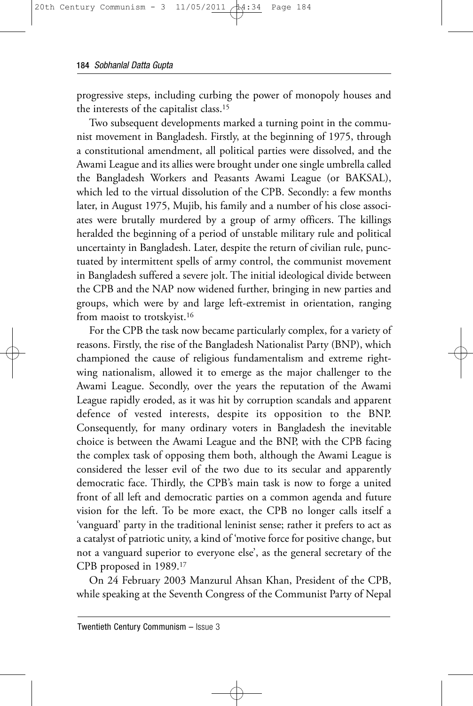progressive steps, including curbing the power of monopoly houses and the interests of the capitalist class.15

Two subsequent developments marked a turning point in the communist movement in Bangladesh. Firstly, at the beginning of 1975, through a constitutional amendment, all political parties were dissolved, and the Awami League and its allies were brought under one single umbrella called the Bangladesh Workers and Peasants Awami League (or BAKSAL), which led to the virtual dissolution of the CPB. Secondly: a few months later, in August 1975, Mujib, his family and a number of his close associates were brutally murdered by a group of army officers. The killings heralded the beginning of a period of unstable military rule and political uncertainty in Bangladesh. Later, despite the return of civilian rule, punctuated by intermittent spells of army control, the communist movement in Bangladesh suffered a severe jolt. The initial ideological divide between the CPB and the NAP now widened further, bringing in new parties and groups, which were by and large left-extremist in orientation, ranging from maoist to trotskyist.<sup>16</sup>

For the CPB the task now became particularly complex, for a variety of reasons. Firstly, the rise of the Bangladesh Nationalist Party (BNP), which championed the cause of religious fundamentalism and extreme rightwing nationalism, allowed it to emerge as the major challenger to the Awami League. Secondly, over the years the reputation of the Awami League rapidly eroded, as it was hit by corruption scandals and apparent defence of vested interests, despite its opposition to the BNP. Consequently, for many ordinary voters in Bangladesh the inevitable choice is between the Awami League and the BNP, with the CPB facing the complex task of opposing them both, although the Awami League is considered the lesser evil of the two due to its secular and apparently democratic face. Thirdly, the CPB's main task is now to forge a united front of all left and democratic parties on a common agenda and future vision for the left. To be more exact, the CPB no longer calls itself a 'vanguard' party in the traditional leninist sense; rather it prefers to act as a catalyst of patriotic unity, a kind of 'motive force for positive change, but not a vanguard superior to everyone else', as the general secretary of the CPB proposed in 1989.17

On 24 February 2003 Manzurul Ahsan Khan, President of the CPB, while speaking at the Seventh Congress of the Communist Party of Nepal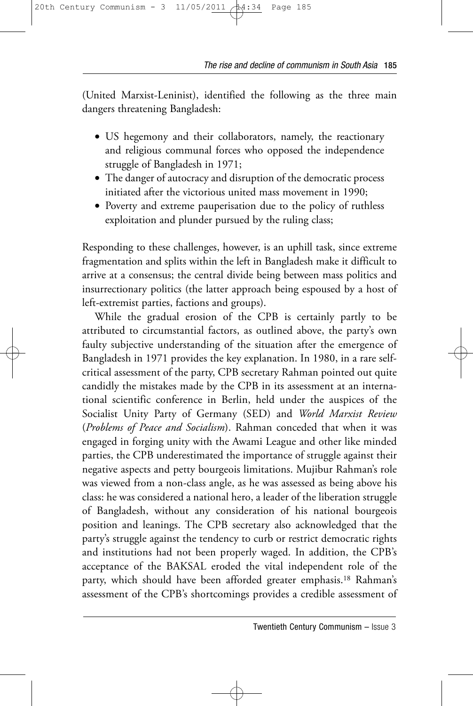(United Marxist-Leninist), identified the following as the three main dangers threatening Bangladesh:

- US hegemony and their collaborators, namely, the reactionary and religious communal forces who opposed the independence struggle of Bangladesh in 1971;
- The danger of autocracy and disruption of the democratic process initiated after the victorious united mass movement in 1990;
- Poverty and extreme pauperisation due to the policy of ruthless exploitation and plunder pursued by the ruling class;

Responding to these challenges, however, is an uphill task, since extreme fragmentation and splits within the left in Bangladesh make it difficult to arrive at a consensus; the central divide being between mass politics and insurrectionary politics (the latter approach being espoused by a host of left-extremist parties, factions and groups).

While the gradual erosion of the CPB is certainly partly to be attributed to circumstantial factors, as outlined above, the party's own faulty subjective understanding of the situation after the emergence of Bangladesh in 1971 provides the key explanation. In 1980, in a rare selfcritical assessment of the party, CPB secretary Rahman pointed out quite candidly the mistakes made by the CPB in its assessment at an international scientific conference in Berlin, held under the auspices of the Socialist Unity Party of Germany (SED) and *World Marxist Review* (*Problems of Peace and Socialism*). Rahman conceded that when it was engaged in forging unity with the Awami League and other like minded parties, the CPB underestimated the importance of struggle against their negative aspects and petty bourgeois limitations. Mujibur Rahman's role was viewed from a non-class angle, as he was assessed as being above his class: he was considered a national hero, a leader of the liberation struggle of Bangladesh, without any consideration of his national bourgeois position and leanings. The CPB secretary also acknowledged that the party's struggle against the tendency to curb or restrict democratic rights and institutions had not been properly waged. In addition, the CPB's acceptance of the BAKSAL eroded the vital independent role of the party, which should have been afforded greater emphasis.18 Rahman's assessment of the CPB's shortcomings provides a credible assessment of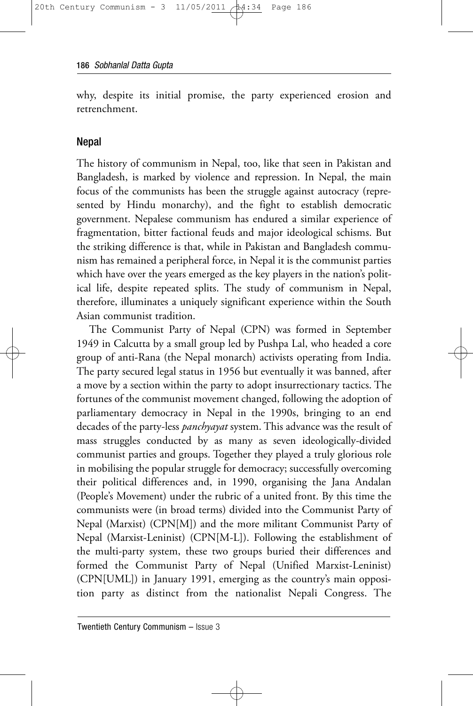why, despite its initial promise, the party experienced erosion and retrenchment.

#### **Nepal**

The history of communism in Nepal, too, like that seen in Pakistan and Bangladesh, is marked by violence and repression. In Nepal, the main focus of the communists has been the struggle against autocracy (represented by Hindu monarchy), and the fight to establish democratic government. Nepalese communism has endured a similar experience of fragmentation, bitter factional feuds and major ideological schisms. But the striking difference is that, while in Pakistan and Bangladesh communism has remained a peripheral force, in Nepal it is the communist parties which have over the years emerged as the key players in the nation's political life, despite repeated splits. The study of communism in Nepal, therefore, illuminates a uniquely significant experience within the South Asian communist tradition.

The Communist Party of Nepal (CPN) was formed in September 1949 in Calcutta by a small group led by Pushpa Lal, who headed a core group of anti-Rana (the Nepal monarch) activists operating from India. The party secured legal status in 1956 but eventually it was banned, after a move by a section within the party to adopt insurrectionary tactics. The fortunes of the communist movement changed, following the adoption of parliamentary democracy in Nepal in the 1990s, bringing to an end decades of the party-less *panchyayat* system. This advance was the result of mass struggles conducted by as many as seven ideologically-divided communist parties and groups. Together they played a truly glorious role in mobilising the popular struggle for democracy; successfully overcoming their political differences and, in 1990, organising the Jana Andalan (People's Movement) under the rubric of a united front. By this time the communists were (in broad terms) divided into the Communist Party of Nepal (Marxist) (CPN[M]) and the more militant Communist Party of Nepal (Marxist-Leninist) (CPN[M-L]). Following the establishment of the multi-party system, these two groups buried their differences and formed the Communist Party of Nepal (Unified Marxist-Leninist) (CPN[UML]) in January 1991, emerging as the country's main opposition party as distinct from the nationalist Nepali Congress. The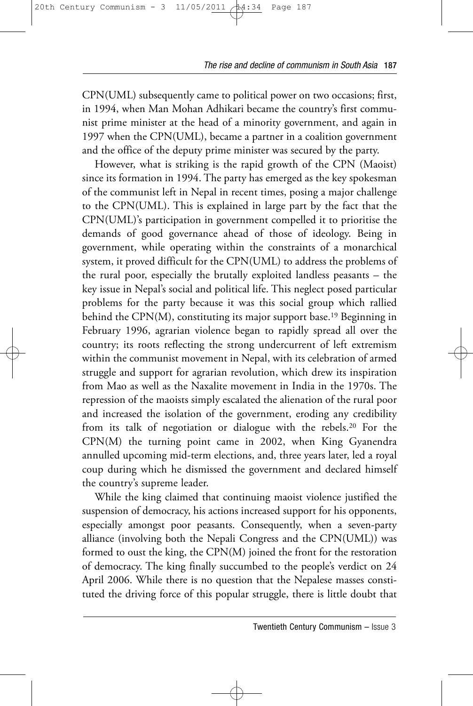CPN(UML) subsequently came to political power on two occasions; first, in 1994, when Man Mohan Adhikari became the country's first communist prime minister at the head of a minority government, and again in 1997 when the CPN(UML), became a partner in a coalition government and the office of the deputy prime minister was secured by the party.

However, what is striking is the rapid growth of the CPN (Maoist) since its formation in 1994. The party has emerged as the key spokesman of the communist left in Nepal in recent times, posing a major challenge to the CPN(UML). This is explained in large part by the fact that the CPN(UML)'s participation in government compelled it to prioritise the demands of good governance ahead of those of ideology. Being in government, while operating within the constraints of a monarchical system, it proved difficult for the CPN(UML) to address the problems of the rural poor, especially the brutally exploited landless peasants – the key issue in Nepal's social and political life. This neglect posed particular problems for the party because it was this social group which rallied behind the CPN(M), constituting its major support base.19 Beginning in February 1996, agrarian violence began to rapidly spread all over the country; its roots reflecting the strong undercurrent of left extremism within the communist movement in Nepal, with its celebration of armed struggle and support for agrarian revolution, which drew its inspiration from Mao as well as the Naxalite movement in India in the 1970s. The repression of the maoists simply escalated the alienation of the rural poor and increased the isolation of the government, eroding any credibility from its talk of negotiation or dialogue with the rebels.20 For the CPN(M) the turning point came in 2002, when King Gyanendra annulled upcoming mid-term elections, and, three years later, led a royal coup during which he dismissed the government and declared himself the country's supreme leader.

While the king claimed that continuing maoist violence justified the suspension of democracy, his actions increased support for his opponents, especially amongst poor peasants. Consequently, when a seven-party alliance (involving both the Nepali Congress and the CPN(UML)) was formed to oust the king, the CPN(M) joined the front for the restoration of democracy. The king finally succumbed to the people's verdict on 24 April 2006. While there is no question that the Nepalese masses constituted the driving force of this popular struggle, there is little doubt that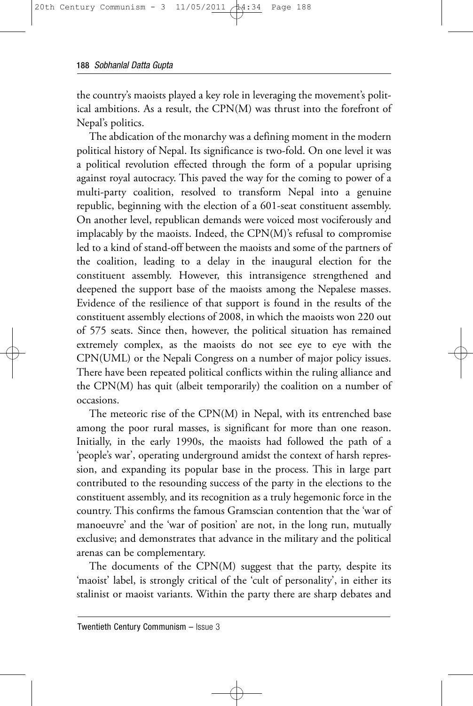the country's maoists played a key role in leveraging the movement's political ambitions. As a result, the CPN(M) was thrust into the forefront of Nepal's politics.

The abdication of the monarchy was a defining moment in the modern political history of Nepal. Its significance is two-fold. On one level it was a political revolution effected through the form of a popular uprising against royal autocracy. This paved the way for the coming to power of a multi-party coalition, resolved to transform Nepal into a genuine republic, beginning with the election of a 601-seat constituent assembly. On another level, republican demands were voiced most vociferously and implacably by the maoists. Indeed, the CPN(M)'s refusal to compromise led to a kind of stand-off between the maoists and some of the partners of the coalition, leading to a delay in the inaugural election for the constituent assembly. However, this intransigence strengthened and deepened the support base of the maoists among the Nepalese masses. Evidence of the resilience of that support is found in the results of the constituent assembly elections of 2008, in which the maoists won 220 out of 575 seats. Since then, however, the political situation has remained extremely complex, as the maoists do not see eye to eye with the CPN(UML) or the Nepali Congress on a number of major policy issues. There have been repeated political conflicts within the ruling alliance and the CPN(M) has quit (albeit temporarily) the coalition on a number of occasions.

The meteoric rise of the CPN(M) in Nepal, with its entrenched base among the poor rural masses, is significant for more than one reason. Initially, in the early 1990s, the maoists had followed the path of a 'people's war', operating underground amidst the context of harsh repression, and expanding its popular base in the process. This in large part contributed to the resounding success of the party in the elections to the constituent assembly, and its recognition as a truly hegemonic force in the country. This confirms the famous Gramscian contention that the 'war of manoeuvre' and the 'war of position' are not, in the long run, mutually exclusive; and demonstrates that advance in the military and the political arenas can be complementary.

The documents of the CPN(M) suggest that the party, despite its 'maoist' label, is strongly critical of the 'cult of personality', in either its stalinist or maoist variants. Within the party there are sharp debates and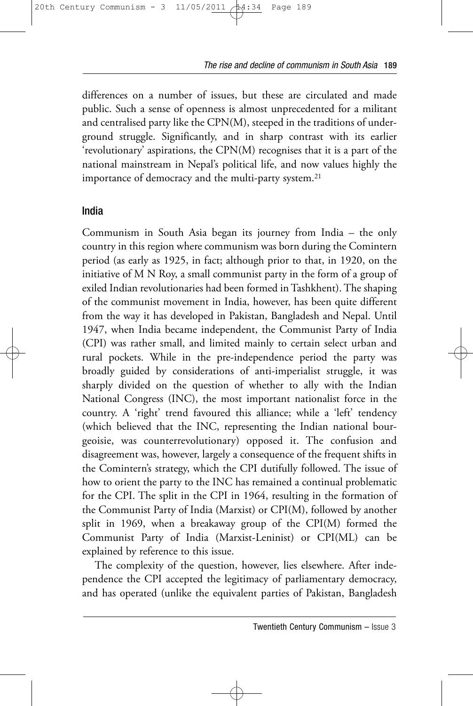differences on a number of issues, but these are circulated and made public. Such a sense of openness is almost unprecedented for a militant and centralised party like the CPN(M), steeped in the traditions of underground struggle. Significantly, and in sharp contrast with its earlier 'revolutionary' aspirations, the CPN(M) recognises that it is a part of the national mainstream in Nepal's political life, and now values highly the importance of democracy and the multi-party system.<sup>21</sup>

#### India

Communism in South Asia began its journey from India – the only country in this region where communism was born during the Comintern period (as early as 1925, in fact; although prior to that, in 1920, on the initiative of M N Roy, a small communist party in the form of a group of exiled Indian revolutionaries had been formed in Tashkhent). The shaping of the communist movement in India, however, has been quite different from the way it has developed in Pakistan, Bangladesh and Nepal. Until 1947, when India became independent, the Communist Party of India (CPI) was rather small, and limited mainly to certain select urban and rural pockets. While in the pre-independence period the party was broadly guided by considerations of anti-imperialist struggle, it was sharply divided on the question of whether to ally with the Indian National Congress (INC), the most important nationalist force in the country. A 'right' trend favoured this alliance; while a 'left' tendency (which believed that the INC, representing the Indian national bourgeoisie, was counterrevolutionary) opposed it. The confusion and disagreement was, however, largely a consequence of the frequent shifts in the Comintern's strategy, which the CPI dutifully followed. The issue of how to orient the party to the INC has remained a continual problematic for the CPI. The split in the CPI in 1964, resulting in the formation of the Communist Party of India (Marxist) or CPI(M), followed by another split in 1969, when a breakaway group of the CPI(M) formed the Communist Party of India (Marxist-Leninist) or CPI(ML) can be explained by reference to this issue.

The complexity of the question, however, lies elsewhere. After independence the CPI accepted the legitimacy of parliamentary democracy, and has operated (unlike the equivalent parties of Pakistan, Bangladesh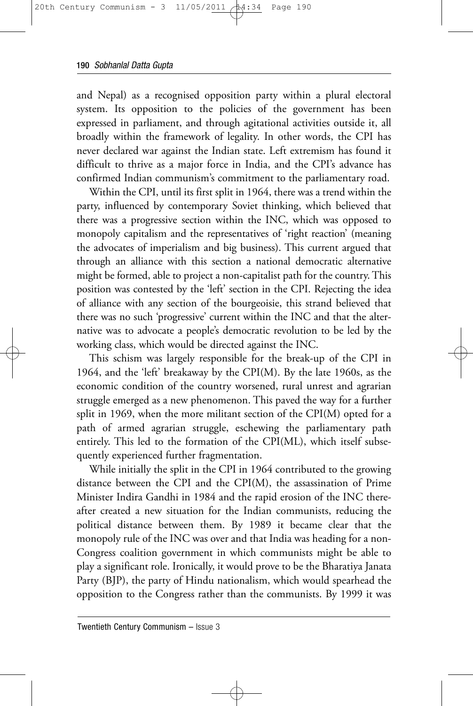and Nepal) as a recognised opposition party within a plural electoral system. Its opposition to the policies of the government has been expressed in parliament, and through agitational activities outside it, all broadly within the framework of legality. In other words, the CPI has never declared war against the Indian state. Left extremism has found it difficult to thrive as a major force in India, and the CPI's advance has confirmed Indian communism's commitment to the parliamentary road.

Within the CPI, until its first split in 1964, there was a trend within the party, influenced by contemporary Soviet thinking, which believed that there was a progressive section within the INC, which was opposed to monopoly capitalism and the representatives of 'right reaction' (meaning the advocates of imperialism and big business). This current argued that through an alliance with this section a national democratic alternative might be formed, able to project a non-capitalist path for the country. This position was contested by the 'left' section in the CPI. Rejecting the idea of alliance with any section of the bourgeoisie, this strand believed that there was no such 'progressive' current within the INC and that the alternative was to advocate a people's democratic revolution to be led by the working class, which would be directed against the INC.

This schism was largely responsible for the break-up of the CPI in 1964, and the 'left' breakaway by the CPI(M). By the late 1960s, as the economic condition of the country worsened, rural unrest and agrarian struggle emerged as a new phenomenon. This paved the way for a further split in 1969, when the more militant section of the CPI(M) opted for a path of armed agrarian struggle, eschewing the parliamentary path entirely. This led to the formation of the CPI(ML), which itself subsequently experienced further fragmentation.

While initially the split in the CPI in 1964 contributed to the growing distance between the CPI and the CPI(M), the assassination of Prime Minister Indira Gandhi in 1984 and the rapid erosion of the INC thereafter created a new situation for the Indian communists, reducing the political distance between them. By 1989 it became clear that the monopoly rule of the INC was over and that India was heading for a non-Congress coalition government in which communists might be able to play a significant role. Ironically, it would prove to be the Bharatiya Janata Party (BJP), the party of Hindu nationalism, which would spearhead the opposition to the Congress rather than the communists. By 1999 it was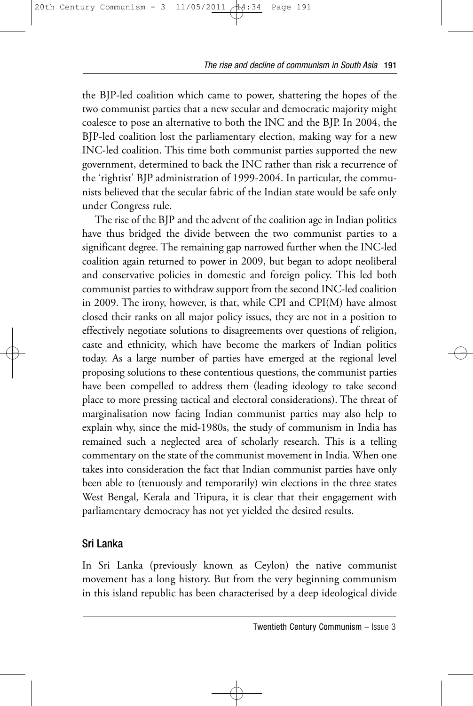the BJP-led coalition which came to power, shattering the hopes of the two communist parties that a new secular and democratic majority might coalesce to pose an alternative to both the INC and the BJP. In 2004, the BJP-led coalition lost the parliamentary election, making way for a new INC-led coalition. This time both communist parties supported the new government, determined to back the INC rather than risk a recurrence of the 'rightist' BJP administration of 1999-2004. In particular, the communists believed that the secular fabric of the Indian state would be safe only under Congress rule.

The rise of the BJP and the advent of the coalition age in Indian politics have thus bridged the divide between the two communist parties to a significant degree. The remaining gap narrowed further when the INC-led coalition again returned to power in 2009, but began to adopt neoliberal and conservative policies in domestic and foreign policy. This led both communist parties to withdraw support from the second INC-led coalition in 2009. The irony, however, is that, while CPI and CPI(M) have almost closed their ranks on all major policy issues, they are not in a position to effectively negotiate solutions to disagreements over questions of religion, caste and ethnicity, which have become the markers of Indian politics today. As a large number of parties have emerged at the regional level proposing solutions to these contentious questions, the communist parties have been compelled to address them (leading ideology to take second place to more pressing tactical and electoral considerations). The threat of marginalisation now facing Indian communist parties may also help to explain why, since the mid-1980s, the study of communism in India has remained such a neglected area of scholarly research. This is a telling commentary on the state of the communist movement in India. When one takes into consideration the fact that Indian communist parties have only been able to (tenuously and temporarily) win elections in the three states West Bengal, Kerala and Tripura, it is clear that their engagement with parliamentary democracy has not yet yielded the desired results.

# Sri Lanka

In Sri Lanka (previously known as Ceylon) the native communist movement has a long history. But from the very beginning communism in this island republic has been characterised by a deep ideological divide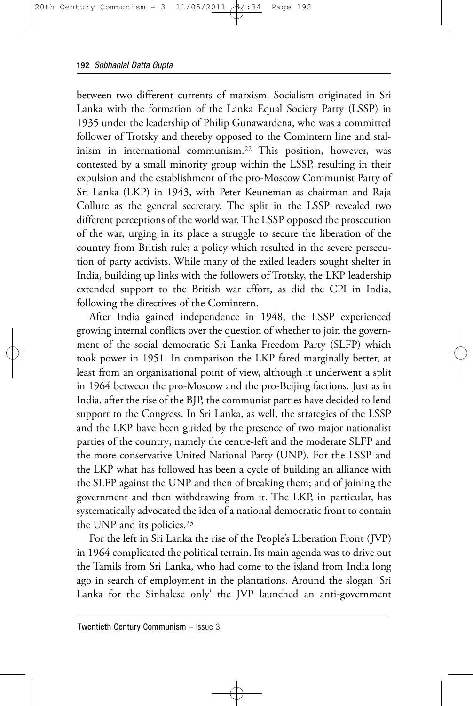between two different currents of marxism. Socialism originated in Sri Lanka with the formation of the Lanka Equal Society Party (LSSP) in 1935 under the leadership of Philip Gunawardena, who was a committed follower of Trotsky and thereby opposed to the Comintern line and stalinism in international communism.22 This position, however, was contested by a small minority group within the LSSP, resulting in their expulsion and the establishment of the pro-Moscow Communist Party of Sri Lanka (LKP) in 1943, with Peter Keuneman as chairman and Raja Collure as the general secretary. The split in the LSSP revealed two different perceptions of the world war. The LSSP opposed the prosecution of the war, urging in its place a struggle to secure the liberation of the country from British rule; a policy which resulted in the severe persecution of party activists. While many of the exiled leaders sought shelter in India, building up links with the followers of Trotsky, the LKP leadership extended support to the British war effort, as did the CPI in India, following the directives of the Comintern.

After India gained independence in 1948, the LSSP experienced growing internal conflicts over the question of whether to join the government of the social democratic Sri Lanka Freedom Party (SLFP) which took power in 1951. In comparison the LKP fared marginally better, at least from an organisational point of view, although it underwent a split in 1964 between the pro-Moscow and the pro-Beijing factions. Just as in India, after the rise of the BJP, the communist parties have decided to lend support to the Congress. In Sri Lanka, as well, the strategies of the LSSP and the LKP have been guided by the presence of two major nationalist parties of the country; namely the centre-left and the moderate SLFP and the more conservative United National Party (UNP). For the LSSP and the LKP what has followed has been a cycle of building an alliance with the SLFP against the UNP and then of breaking them; and of joining the government and then withdrawing from it. The LKP, in particular, has systematically advocated the idea of a national democratic front to contain the UNP and its policies.<sup>23</sup>

For the left in Sri Lanka the rise of the People's Liberation Front (JVP) in 1964 complicated the political terrain. Its main agenda was to drive out the Tamils from Sri Lanka, who had come to the island from India long ago in search of employment in the plantations. Around the slogan 'Sri Lanka for the Sinhalese only' the JVP launched an anti-government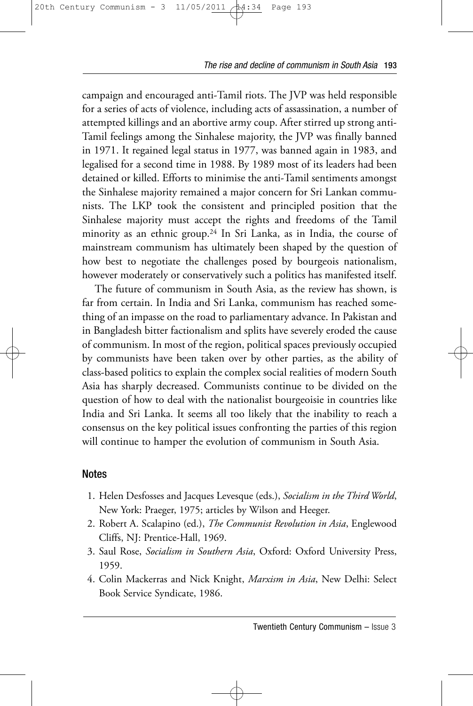campaign and encouraged anti-Tamil riots. The JVP was held responsible for a series of acts of violence, including acts of assassination, a number of attempted killings and an abortive army coup. After stirred up strong anti-Tamil feelings among the Sinhalese majority, the JVP was finally banned in 1971. It regained legal status in 1977, was banned again in 1983, and legalised for a second time in 1988. By 1989 most of its leaders had been detained or killed. Efforts to minimise the anti-Tamil sentiments amongst the Sinhalese majority remained a major concern for Sri Lankan communists. The LKP took the consistent and principled position that the Sinhalese majority must accept the rights and freedoms of the Tamil minority as an ethnic group.24 In Sri Lanka, as in India, the course of mainstream communism has ultimately been shaped by the question of how best to negotiate the challenges posed by bourgeois nationalism, however moderately or conservatively such a politics has manifested itself.

The future of communism in South Asia, as the review has shown, is far from certain. In India and Sri Lanka, communism has reached something of an impasse on the road to parliamentary advance. In Pakistan and in Bangladesh bitter factionalism and splits have severely eroded the cause of communism. In most of the region, political spaces previously occupied by communists have been taken over by other parties, as the ability of class-based politics to explain the complex social realities of modern South Asia has sharply decreased. Communists continue to be divided on the question of how to deal with the nationalist bourgeoisie in countries like India and Sri Lanka. It seems all too likely that the inability to reach a consensus on the key political issues confronting the parties of this region will continue to hamper the evolution of communism in South Asia.

#### Notes

- 1. Helen Desfosses and Jacques Levesque (eds.), *Socialism in the Third World*, New York: Praeger, 1975; articles by Wilson and Heeger.
- 2. Robert A. Scalapino (ed.), *The Communist Revolution in Asia*, Englewood Cliffs, NJ: Prentice-Hall, 1969.
- 3. Saul Rose, *Socialism in Southern Asia*, Oxford: Oxford University Press, 1959.
- 4. Colin Mackerras and Nick Knight, *Marxism in Asia*, New Delhi: Select Book Service Syndicate, 1986.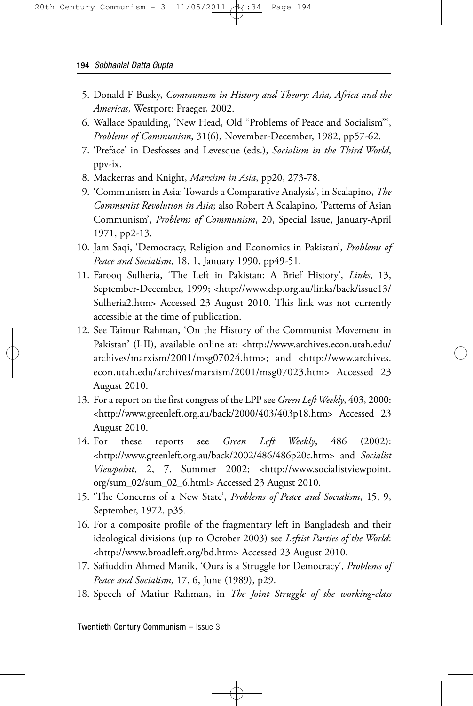- 5. Donald F Busky, *Communism in History and Theory: Asia, Africa and the Americas*, Westport: Praeger, 2002.
- 6. Wallace Spaulding, 'New Head, Old "Problems of Peace and Socialism"', *Problems of Communism*, 31(6), November-December, 1982, pp57-62.
- 7. 'Preface' in Desfosses and Levesque (eds.), *Socialism in the Third World*, ppv-ix.
- 8. Mackerras and Knight, *Marxism in Asia*, pp20, 273-78.
- 9. 'Communism in Asia: Towards a Comparative Analysis', in Scalapino, *The Communist Revolution in Asia*; also Robert A Scalapino, 'Patterns of Asian Communism', *Problems of Communism*, 20, Special Issue, January-April 1971, pp2-13.
- 10. Jam Saqi, 'Democracy, Religion and Economics in Pakistan', *Problems of Peace and Socialism*, 18, 1, January 1990, pp49-51.
- 11. Farooq Sulheria, 'The Left in Pakistan: A Brief History', *Links*, 13, September-December, 1999; <http://www.dsp.org.au/links/back/issue13/ Sulheria2.htm> Accessed 23 August 2010. This link was not currently accessible at the time of publication.
- 12. See Taimur Rahman, 'On the History of the Communist Movement in Pakistan' (I-II), available online at: <http://www.archives.econ.utah.edu/ archives/marxism/2001/msg07024.htm>; and <http://www.archives. econ.utah.edu/archives/marxism/2001/msg07023.htm> Accessed 23 August 2010.
- 13. For a report on the first congress of the LPP see *Green Left Weekly*, 403, 2000: <http://www.greenleft.org.au/back/2000/403/403p18.htm> Accessed 23 August 2010.
- 14. For these reports see *Green Left Weekly*, 486 (2002): <http://www.greenleft.org.au/back/2002/486/486p20c.htm> and *Socialist Viewpoint*, 2, 7, Summer 2002; <http://www.socialistviewpoint. org/sum\_02/sum\_02\_6.html> Accessed 23 August 2010.
- 15. 'The Concerns of a New State', *Problems of Peace and Socialism*, 15, 9, September, 1972, p35.
- 16. For a composite profile of the fragmentary left in Bangladesh and their ideological divisions (up to October 2003) see *Leftist Parties of the World*: <http://www.broadleft.org/bd.htm> Accessed 23 August 2010.
- 17. Safiuddin Ahmed Manik, 'Ours is a Struggle for Democracy', *Problems of Peace and Socialism*, 17, 6, June (1989), p29.
- 18. Speech of Matiur Rahman, in *The Joint Struggle of the working-class*